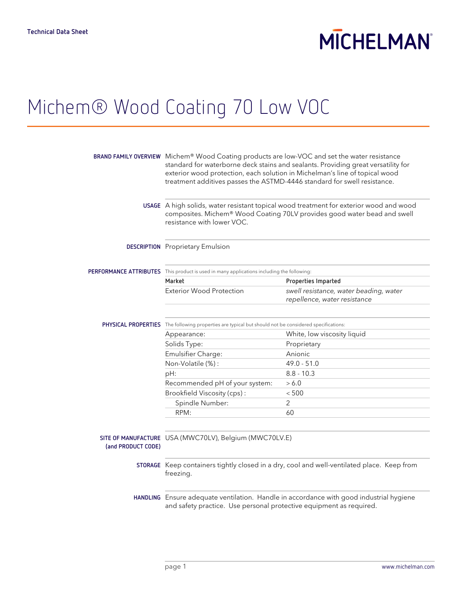# **MICHELMAN**

## Michem® Wood Coating 70 Low VOC

|                    | BRAND FAMILY OVERVIEW Michem® Wood Coating products are low-VOC and set the water resistance<br>standard for waterborne deck stains and sealants. Providing great versatility for<br>exterior wood protection, each solution in Michelman's line of topical wood<br>treatment additives passes the ASTMD-4446 standard for swell resistance. |                                                                        |
|--------------------|----------------------------------------------------------------------------------------------------------------------------------------------------------------------------------------------------------------------------------------------------------------------------------------------------------------------------------------------|------------------------------------------------------------------------|
|                    | USAGE A high solids, water resistant topical wood treatment for exterior wood and wood<br>composites. Michem® Wood Coating 70LV provides good water bead and swell<br>resistance with lower VOC.                                                                                                                                             |                                                                        |
|                    | <b>DESCRIPTION</b> Proprietary Emulsion                                                                                                                                                                                                                                                                                                      |                                                                        |
|                    | PERFORMANCE ATTRIBUTES This product is used in many applications including the following:                                                                                                                                                                                                                                                    |                                                                        |
|                    | Market                                                                                                                                                                                                                                                                                                                                       | Properties Imparted                                                    |
|                    | <b>Exterior Wood Protection</b>                                                                                                                                                                                                                                                                                                              | swell resistance, water beading, water<br>repellence, water resistance |
|                    | PHYSICAL PROPERTIES The following properties are typical but should not be considered specifications:                                                                                                                                                                                                                                        |                                                                        |
|                    | Appearance:                                                                                                                                                                                                                                                                                                                                  | White, low viscosity liquid                                            |
|                    | Solids Type:                                                                                                                                                                                                                                                                                                                                 | Proprietary                                                            |
|                    | Emulsifier Charge:                                                                                                                                                                                                                                                                                                                           | Anionic                                                                |
|                    | Non-Volatile (%):                                                                                                                                                                                                                                                                                                                            | $49.0 - 51.0$                                                          |
|                    | pH:                                                                                                                                                                                                                                                                                                                                          | $8.8 - 10.3$                                                           |
|                    | Recommended pH of your system:                                                                                                                                                                                                                                                                                                               | > 6.0                                                                  |
|                    | Brookfield Viscosity (cps):                                                                                                                                                                                                                                                                                                                  | < 500                                                                  |
|                    | Spindle Number:                                                                                                                                                                                                                                                                                                                              | 2                                                                      |
|                    | RPM:                                                                                                                                                                                                                                                                                                                                         | 60                                                                     |
| (and PRODUCT CODE) | SITE OF MANUFACTURE USA (MWC70LV), Belgium (MWC70LV.E)                                                                                                                                                                                                                                                                                       |                                                                        |
|                    | STORAGE Keep containers tightly closed in a dry, cool and well-ventilated place. Keep from<br>freezing.                                                                                                                                                                                                                                      |                                                                        |
|                    | HANDLING Ensure adequate ventilation. Handle in accordance with good industrial hygiene<br>and safety practice. Use personal protective equipment as required.                                                                                                                                                                               |                                                                        |